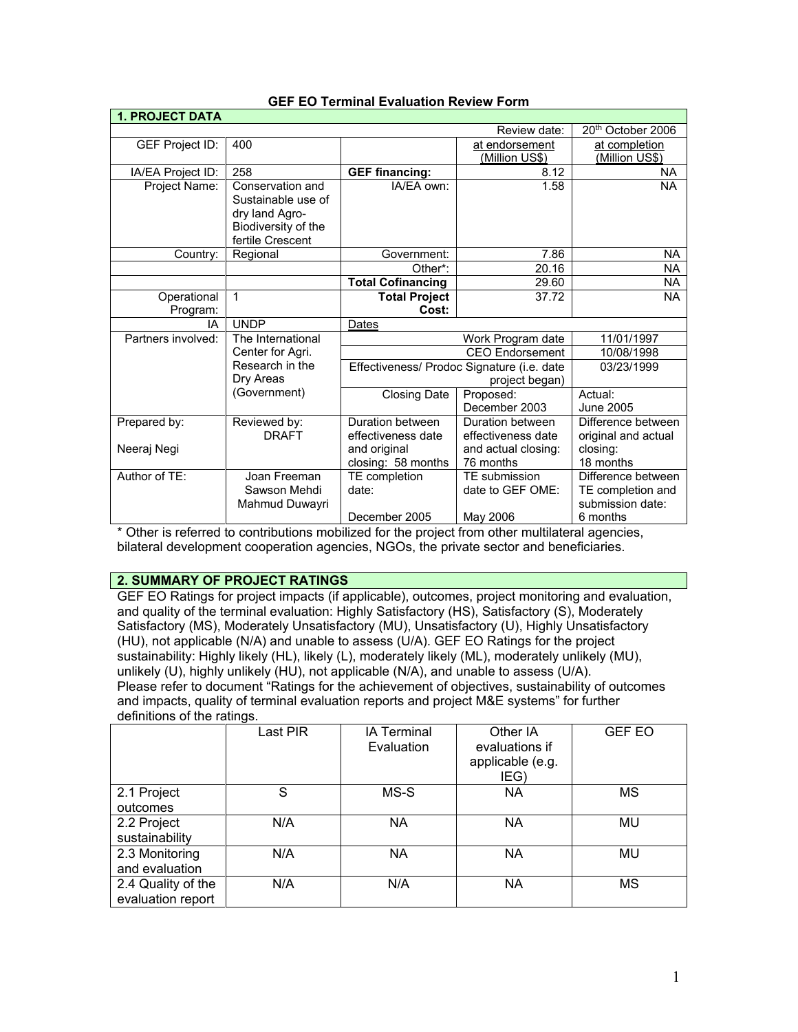| <b>1. PROJECT DATA</b> |                     |                                                                                           |                     |                               |
|------------------------|---------------------|-------------------------------------------------------------------------------------------|---------------------|-------------------------------|
|                        |                     |                                                                                           | Review date:        | 20 <sup>th</sup> October 2006 |
| GEF Project ID:        | 400                 |                                                                                           | at endorsement      | at completion                 |
|                        |                     |                                                                                           | (Million US\$)      | <u>(Million US\$)</u>         |
| IA/EA Project ID:      | 258                 | <b>GEF financing:</b>                                                                     | 8.12                | <b>NA</b>                     |
| Project Name:          | Conservation and    | IA/EA own:                                                                                | 1.58                | <b>NA</b>                     |
|                        | Sustainable use of  |                                                                                           |                     |                               |
|                        | dry land Agro-      |                                                                                           |                     |                               |
|                        | Biodiversity of the |                                                                                           |                     |                               |
|                        | fertile Crescent    |                                                                                           |                     |                               |
| Country:               | Regional            | Government:                                                                               | 7.86                | NA.                           |
|                        |                     | Other*:                                                                                   | 20.16               | NA.                           |
|                        |                     | <b>Total Cofinancing</b>                                                                  | 29.60               | NA.                           |
| Operational            | 1                   | <b>Total Project</b>                                                                      | 37.72               | <b>NA</b>                     |
| Program:               |                     | Cost:                                                                                     |                     |                               |
| IA                     | <b>UNDP</b>         | Dates                                                                                     |                     |                               |
| Partners involved:     | The International   | Work Program date<br><b>CEO</b> Endorsement<br>Effectiveness/ Prodoc Signature (i.e. date |                     | 11/01/1997                    |
|                        | Center for Agri.    |                                                                                           |                     | 10/08/1998                    |
|                        | Research in the     |                                                                                           |                     | 03/23/1999                    |
|                        | Dry Areas           |                                                                                           | project began)      |                               |
|                        | (Government)        | Closing Date                                                                              | Proposed:           | Actual:                       |
|                        |                     |                                                                                           | December 2003       | June 2005                     |
| Prepared by:           | Reviewed by:        | Duration between                                                                          | Duration between    | Difference between            |
|                        | <b>DRAFT</b>        | effectiveness date                                                                        | effectiveness date  | original and actual           |
| Neeraj Negi            |                     | and original                                                                              | and actual closing: | closing:                      |
|                        |                     | closing: 58 months                                                                        | 76 months           | 18 months                     |
| Author of TE:          | Joan Freeman        | TE completion                                                                             | TE submission       | Difference between            |
|                        | Sawson Mehdi        | date:                                                                                     | date to GEF OME:    | TE completion and             |
|                        | Mahmud Duwayri      |                                                                                           |                     | submission date:              |
|                        |                     | December 2005                                                                             | May 2006            | 6 months                      |

#### **GEF EO Terminal Evaluation Review Form**

\* Other is referred to contributions mobilized for the project from other multilateral agencies, bilateral development cooperation agencies, NGOs, the private sector and beneficiaries.

# **2. SUMMARY OF PROJECT RATINGS**

GEF EO Ratings for project impacts (if applicable), outcomes, project monitoring and evaluation, and quality of the terminal evaluation: Highly Satisfactory (HS), Satisfactory (S), Moderately Satisfactory (MS), Moderately Unsatisfactory (MU), Unsatisfactory (U), Highly Unsatisfactory (HU), not applicable (N/A) and unable to assess (U/A). GEF EO Ratings for the project sustainability: Highly likely (HL), likely (L), moderately likely (ML), moderately unlikely (MU), unlikely (U), highly unlikely (HU), not applicable (N/A), and unable to assess (U/A). Please refer to document "Ratings for the achievement of objectives, sustainability of outcomes and impacts, quality of terminal evaluation reports and project M&E systems" for further definitions of the ratings.

|                                         | Last PIR | <b>IA Terminal</b><br>Evaluation | Other IA<br>evaluations if<br>applicable (e.g.<br>IEG) | <b>GEF EO</b> |
|-----------------------------------------|----------|----------------------------------|--------------------------------------------------------|---------------|
| 2.1 Project<br>outcomes                 | S        | MS-S                             | <b>NA</b>                                              | ΜS            |
| 2.2 Project<br>sustainability           | N/A      | <b>NA</b>                        | <b>NA</b>                                              | MU            |
| 2.3 Monitoring<br>and evaluation        | N/A      | <b>NA</b>                        | <b>NA</b>                                              | MU            |
| 2.4 Quality of the<br>evaluation report | N/A      | N/A                              | <b>NA</b>                                              | ΜS            |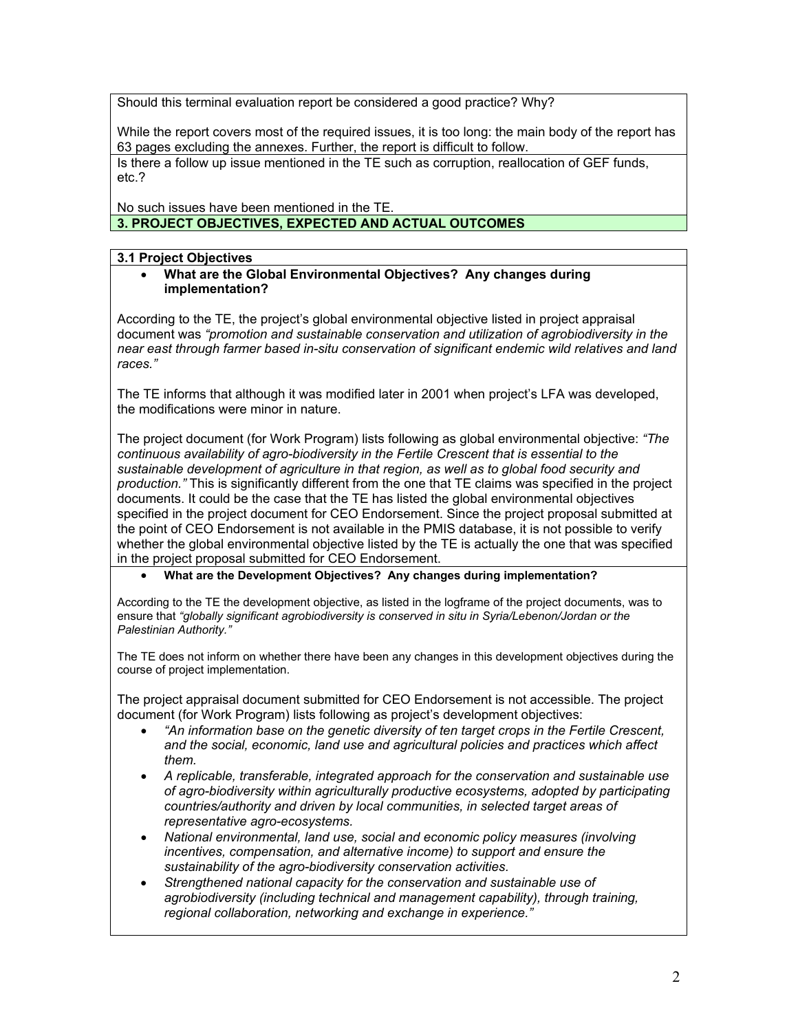Should this terminal evaluation report be considered a good practice? Why?

While the report covers most of the required issues, it is too long: the main body of the report has 63 pages excluding the annexes. Further, the report is difficult to follow.

Is there a follow up issue mentioned in the TE such as corruption, reallocation of GEF funds, etc.?

No such issues have been mentioned in the TE. **3. PROJECT OBJECTIVES, EXPECTED AND ACTUAL OUTCOMES**

**3.1 Project Objectives**

• **What are the Global Environmental Objectives? Any changes during implementation?** 

According to the TE, the project's global environmental objective listed in project appraisal document was *"promotion and sustainable conservation and utilization of agrobiodiversity in the near east through farmer based in-situ conservation of significant endemic wild relatives and land races."* 

The TE informs that although it was modified later in 2001 when project's LFA was developed, the modifications were minor in nature.

The project document (for Work Program) lists following as global environmental objective: *"The continuous availability of agro-biodiversity in the Fertile Crescent that is essential to the sustainable development of agriculture in that region, as well as to global food security and production."* This is significantly different from the one that TE claims was specified in the project documents. It could be the case that the TE has listed the global environmental objectives specified in the project document for CEO Endorsement. Since the project proposal submitted at the point of CEO Endorsement is not available in the PMIS database, it is not possible to verify whether the global environmental objective listed by the TE is actually the one that was specified in the project proposal submitted for CEO Endorsement.

#### • **What are the Development Objectives? Any changes during implementation?**

According to the TE the development objective, as listed in the logframe of the project documents, was to ensure that *"globally significant agrobiodiversity is conserved in situ in Syria/Lebenon/Jordan or the Palestinian Authority."* 

The TE does not inform on whether there have been any changes in this development objectives during the course of project implementation.

The project appraisal document submitted for CEO Endorsement is not accessible. The project document (for Work Program) lists following as project's development objectives:

- *"An information base on the genetic diversity of ten target crops in the Fertile Crescent, and the social, economic, land use and agricultural policies and practices which affect them.*
- *A replicable, transferable, integrated approach for the conservation and sustainable use of agro-biodiversity within agriculturally productive ecosystems, adopted by participating countries/authority and driven by local communities, in selected target areas of representative agro-ecosystems.*
- *National environmental, land use, social and economic policy measures (involving incentives, compensation, and alternative income) to support and ensure the sustainability of the agro-biodiversity conservation activities.*
- *Strengthened national capacity for the conservation and sustainable use of agrobiodiversity (including technical and management capability), through training, regional collaboration, networking and exchange in experience."*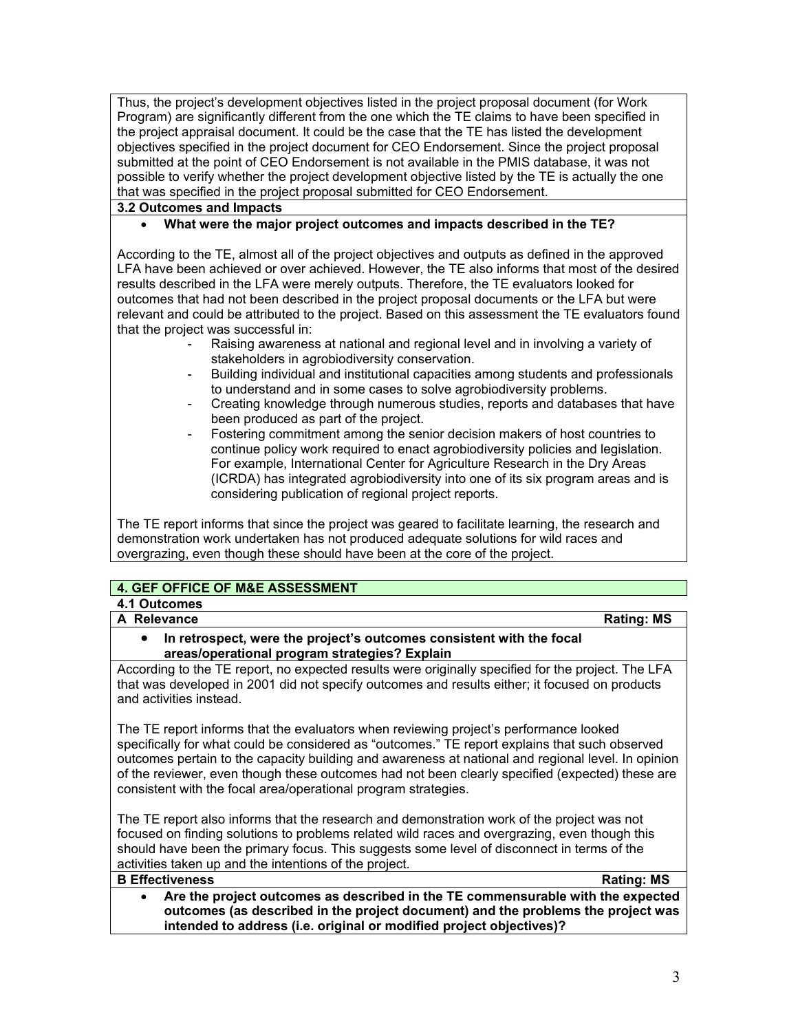Thus, the project's development objectives listed in the project proposal document (for Work Program) are significantly different from the one which the TE claims to have been specified in the project appraisal document. It could be the case that the TE has listed the development objectives specified in the project document for CEO Endorsement. Since the project proposal submitted at the point of CEO Endorsement is not available in the PMIS database, it was not possible to verify whether the project development objective listed by the TE is actually the one that was specified in the project proposal submitted for CEO Endorsement.

## **3.2 Outcomes and Impacts**

### • **What were the major project outcomes and impacts described in the TE?**

According to the TE, almost all of the project objectives and outputs as defined in the approved LFA have been achieved or over achieved. However, the TE also informs that most of the desired results described in the LFA were merely outputs. Therefore, the TE evaluators looked for outcomes that had not been described in the project proposal documents or the LFA but were relevant and could be attributed to the project. Based on this assessment the TE evaluators found that the project was successful in:

- Raising awareness at national and regional level and in involving a variety of stakeholders in agrobiodiversity conservation.
- Building individual and institutional capacities among students and professionals to understand and in some cases to solve agrobiodiversity problems.
- Creating knowledge through numerous studies, reports and databases that have been produced as part of the project.
- Fostering commitment among the senior decision makers of host countries to continue policy work required to enact agrobiodiversity policies and legislation. For example, International Center for Agriculture Research in the Dry Areas (ICRDA) has integrated agrobiodiversity into one of its six program areas and is considering publication of regional project reports.

The TE report informs that since the project was geared to facilitate learning, the research and demonstration work undertaken has not produced adequate solutions for wild races and overgrazing, even though these should have been at the core of the project.

# **4. GEF OFFICE OF M&E ASSESSMENT**

**4.1 Outcomes** 

**A** Relevance **Rational Rational A** Rating: MS

• **In retrospect, were the project's outcomes consistent with the focal areas/operational program strategies? Explain**

According to the TE report, no expected results were originally specified for the project. The LFA that was developed in 2001 did not specify outcomes and results either; it focused on products and activities instead.

The TE report informs that the evaluators when reviewing project's performance looked specifically for what could be considered as "outcomes." TE report explains that such observed outcomes pertain to the capacity building and awareness at national and regional level. In opinion of the reviewer, even though these outcomes had not been clearly specified (expected) these are consistent with the focal area/operational program strategies.

The TE report also informs that the research and demonstration work of the project was not focused on finding solutions to problems related wild races and overgrazing, even though this should have been the primary focus. This suggests some level of disconnect in terms of the activities taken up and the intentions of the project.

#### **B Effectiveness Rating:** MS

• **Are the project outcomes as described in the TE commensurable with the expected outcomes (as described in the project document) and the problems the project was intended to address (i.e. original or modified project objectives)?**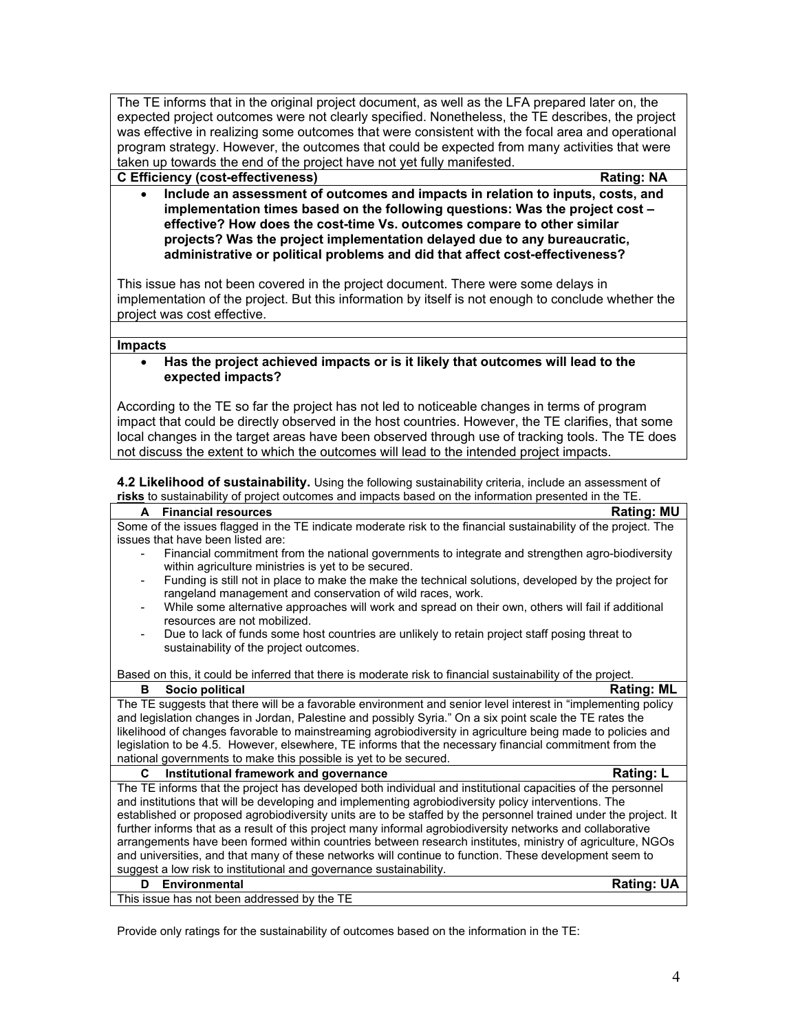The TE informs that in the original project document, as well as the LFA prepared later on, the expected project outcomes were not clearly specified. Nonetheless, the TE describes, the project was effective in realizing some outcomes that were consistent with the focal area and operational program strategy. However, the outcomes that could be expected from many activities that were taken up towards the end of the project have not yet fully manifested.

**C Efficiency (cost-effectiveness) Rating: NA**

• **Include an assessment of outcomes and impacts in relation to inputs, costs, and implementation times based on the following questions: Was the project cost – effective? How does the cost-time Vs. outcomes compare to other similar projects? Was the project implementation delayed due to any bureaucratic, administrative or political problems and did that affect cost-effectiveness?** 

This issue has not been covered in the project document. There were some delays in implementation of the project. But this information by itself is not enough to conclude whether the project was cost effective.

#### **Impacts**

#### • **Has the project achieved impacts or is it likely that outcomes will lead to the expected impacts?**

According to the TE so far the project has not led to noticeable changes in terms of program impact that could be directly observed in the host countries. However, the TE clarifies, that some local changes in the target areas have been observed through use of tracking tools. The TE does not discuss the extent to which the outcomes will lead to the intended project impacts.

**4.2 Likelihood of sustainability.** Using the following sustainability criteria, include an assessment of **risks** to sustainability of project outcomes and impacts based on the information presented in the TE.

| Some of the issues flagged in the TE indicate moderate risk to the financial sustainability of the project. The<br>issues that have been listed are:<br>Financial commitment from the national governments to integrate and strengthen agro-biodiversity<br>within agriculture ministries is yet to be secured.<br>Funding is still not in place to make the make the technical solutions, developed by the project for |
|-------------------------------------------------------------------------------------------------------------------------------------------------------------------------------------------------------------------------------------------------------------------------------------------------------------------------------------------------------------------------------------------------------------------------|
|                                                                                                                                                                                                                                                                                                                                                                                                                         |
|                                                                                                                                                                                                                                                                                                                                                                                                                         |
|                                                                                                                                                                                                                                                                                                                                                                                                                         |
| rangeland management and conservation of wild races, work.                                                                                                                                                                                                                                                                                                                                                              |
| While some alternative approaches will work and spread on their own, others will fail if additional<br>resources are not mobilized.                                                                                                                                                                                                                                                                                     |
| Due to lack of funds some host countries are unlikely to retain project staff posing threat to                                                                                                                                                                                                                                                                                                                          |
| sustainability of the project outcomes.                                                                                                                                                                                                                                                                                                                                                                                 |
| Based on this, it could be inferred that there is moderate risk to financial sustainability of the project.                                                                                                                                                                                                                                                                                                             |
| <b>Rating: ML</b><br>в<br>Socio political                                                                                                                                                                                                                                                                                                                                                                               |
| The TE suggests that there will be a favorable environment and senior level interest in "implementing policy                                                                                                                                                                                                                                                                                                            |
| and legislation changes in Jordan, Palestine and possibly Syria." On a six point scale the TE rates the                                                                                                                                                                                                                                                                                                                 |
| likelihood of changes favorable to mainstreaming agrobiodiversity in agriculture being made to policies and                                                                                                                                                                                                                                                                                                             |
| legislation to be 4.5. However, elsewhere, TE informs that the necessary financial commitment from the                                                                                                                                                                                                                                                                                                                  |
| national governments to make this possible is yet to be secured.                                                                                                                                                                                                                                                                                                                                                        |
| <b>Rating: L</b><br>C.<br>Institutional framework and governance                                                                                                                                                                                                                                                                                                                                                        |
| The TE informs that the project has developed both individual and institutional capacities of the personnel                                                                                                                                                                                                                                                                                                             |
| and institutions that will be developing and implementing agrobiodiversity policy interventions. The                                                                                                                                                                                                                                                                                                                    |
| established or proposed agrobiodiversity units are to be staffed by the personnel trained under the project. It                                                                                                                                                                                                                                                                                                         |
| further informs that as a result of this project many informal agrobiodiversity networks and collaborative                                                                                                                                                                                                                                                                                                              |
| arrangements have been formed within countries between research institutes, ministry of agriculture, NGOs                                                                                                                                                                                                                                                                                                               |
| and universities, and that many of these networks will continue to function. These development seem to                                                                                                                                                                                                                                                                                                                  |
| suggest a low risk to institutional and governance sustainability.                                                                                                                                                                                                                                                                                                                                                      |
| <b>Rating: UA</b><br>D<br>Environmental                                                                                                                                                                                                                                                                                                                                                                                 |
| This issue has not been addressed by the TE                                                                                                                                                                                                                                                                                                                                                                             |

Provide only ratings for the sustainability of outcomes based on the information in the TE: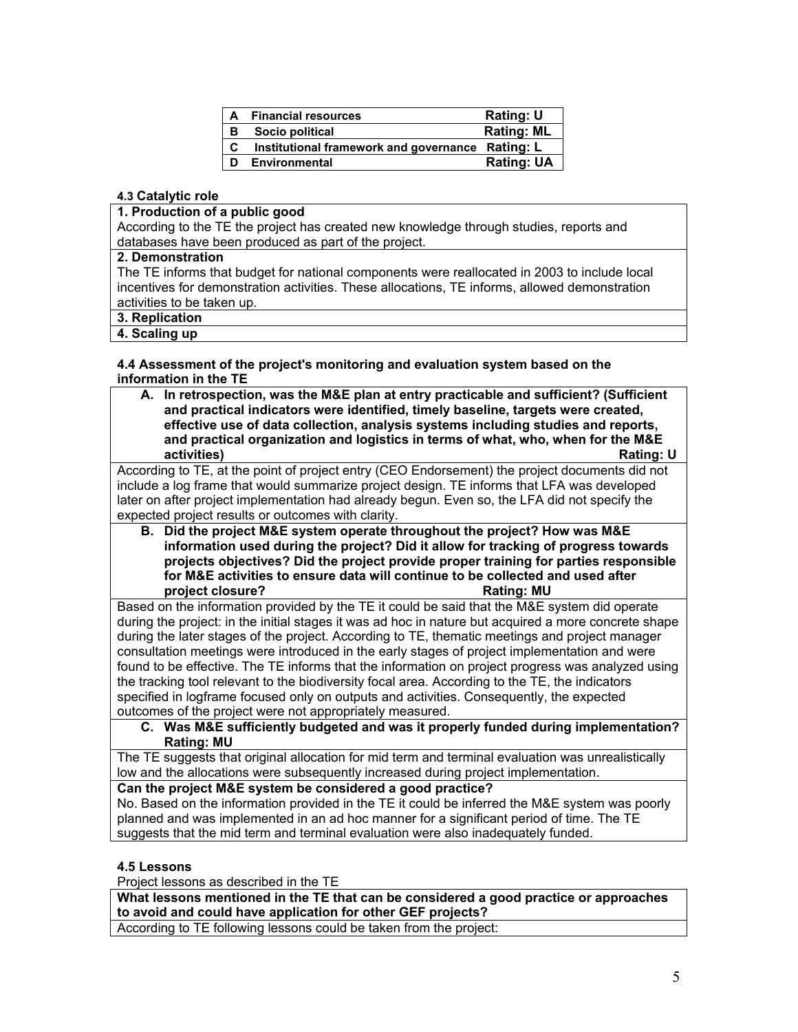| А | <b>Financial resources</b>                       | Rating: U         |
|---|--------------------------------------------------|-------------------|
| в | Socio political                                  | <b>Rating: ML</b> |
| C | Institutional framework and governance Rating: L |                   |
| D | <b>Environmental</b>                             | <b>Rating: UA</b> |

#### **4.3 Catalytic role**

#### **1. Production of a public good**

According to the TE the project has created new knowledge through studies, reports and databases have been produced as part of the project.

#### **2. Demonstration**

The TE informs that budget for national components were reallocated in 2003 to include local incentives for demonstration activities. These allocations, TE informs, allowed demonstration activities to be taken up.

# **3. Replication**

# **4. Scaling up**

**4.4 Assessment of the project's monitoring and evaluation system based on the information in the TE** 

**A. In retrospection, was the M&E plan at entry practicable and sufficient? (Sufficient and practical indicators were identified, timely baseline, targets were created, effective use of data collection, analysis systems including studies and reports, and practical organization and logistics in terms of what, who, when for the M&E activities)** Rating: U

According to TE, at the point of project entry (CEO Endorsement) the project documents did not include a log frame that would summarize project design. TE informs that LFA was developed later on after project implementation had already begun. Even so, the LFA did not specify the expected project results or outcomes with clarity.

**B. Did the project M&E system operate throughout the project? How was M&E information used during the project? Did it allow for tracking of progress towards projects objectives? Did the project provide proper training for parties responsible for M&E activities to ensure data will continue to be collected and used after project closure?** Rating: MU

Based on the information provided by the TE it could be said that the M&E system did operate during the project: in the initial stages it was ad hoc in nature but acquired a more concrete shape during the later stages of the project. According to TE, thematic meetings and project manager consultation meetings were introduced in the early stages of project implementation and were found to be effective. The TE informs that the information on project progress was analyzed using the tracking tool relevant to the biodiversity focal area. According to the TE, the indicators specified in logframe focused only on outputs and activities. Consequently, the expected outcomes of the project were not appropriately measured.

**C. Was M&E sufficiently budgeted and was it properly funded during implementation? Rating: MU**

The TE suggests that original allocation for mid term and terminal evaluation was unrealistically low and the allocations were subsequently increased during project implementation.

# **Can the project M&E system be considered a good practice?**

No. Based on the information provided in the TE it could be inferred the M&E system was poorly planned and was implemented in an ad hoc manner for a significant period of time. The TE suggests that the mid term and terminal evaluation were also inadequately funded.

#### **4.5 Lessons**

Project lessons as described in the TE

**What lessons mentioned in the TE that can be considered a good practice or approaches to avoid and could have application for other GEF projects?**

According to TE following lessons could be taken from the project: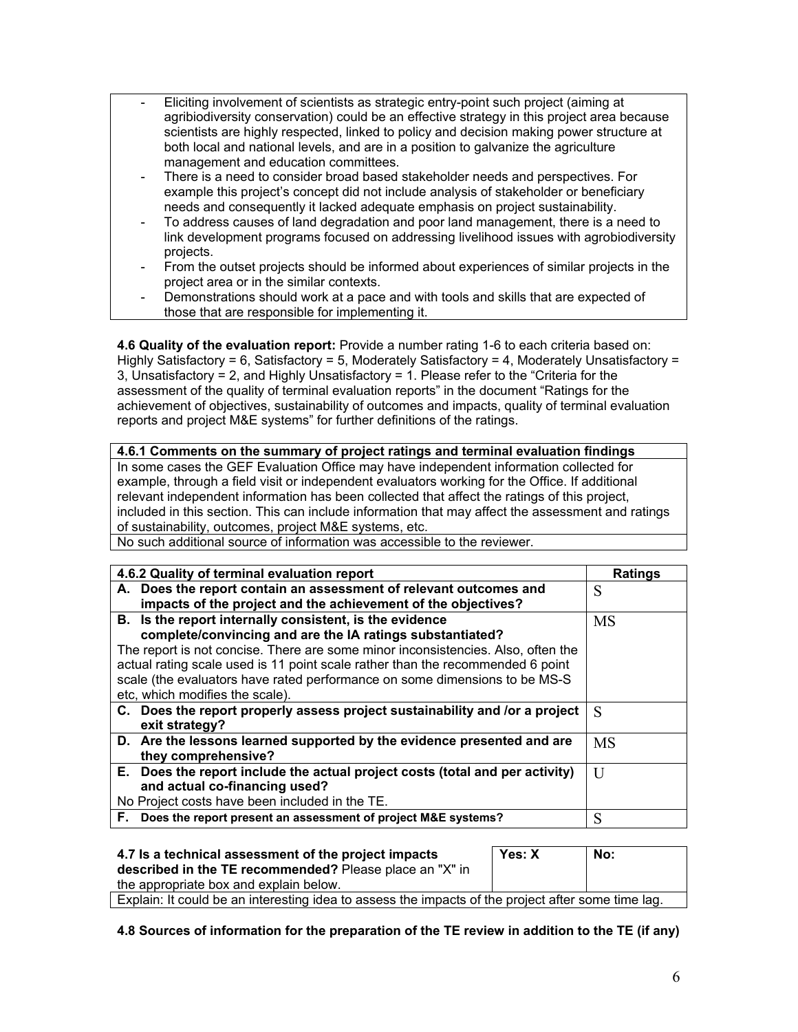- Eliciting involvement of scientists as strategic entry-point such project (aiming at agribiodiversity conservation) could be an effective strategy in this project area because scientists are highly respected, linked to policy and decision making power structure at both local and national levels, and are in a position to galvanize the agriculture management and education committees.
- There is a need to consider broad based stakeholder needs and perspectives. For example this project's concept did not include analysis of stakeholder or beneficiary needs and consequently it lacked adequate emphasis on project sustainability.
- To address causes of land degradation and poor land management, there is a need to link development programs focused on addressing livelihood issues with agrobiodiversity projects.
- From the outset projects should be informed about experiences of similar projects in the project area or in the similar contexts.
- Demonstrations should work at a pace and with tools and skills that are expected of those that are responsible for implementing it.

**4.6 Quality of the evaluation report:** Provide a number rating 1-6 to each criteria based on: Highly Satisfactory = 6, Satisfactory = 5, Moderately Satisfactory = 4, Moderately Unsatisfactory = 3, Unsatisfactory = 2, and Highly Unsatisfactory = 1. Please refer to the "Criteria for the assessment of the quality of terminal evaluation reports" in the document "Ratings for the achievement of objectives, sustainability of outcomes and impacts, quality of terminal evaluation reports and project M&E systems" for further definitions of the ratings.

| 4.6.1 Comments on the summary of project ratings and terminal evaluation findings                 |
|---------------------------------------------------------------------------------------------------|
| In some cases the GEF Evaluation Office may have independent information collected for            |
| example, through a field visit or independent evaluators working for the Office. If additional    |
| relevant independent information has been collected that affect the ratings of this project,      |
| included in this section. This can include information that may affect the assessment and ratings |
| of sustainability, outcomes, project M&E systems, etc.                                            |

No such additional source of information was accessible to the reviewer.

| <b>Ratings</b> |
|----------------|
| S              |
|                |
| <b>MS</b>      |
|                |
|                |
|                |
|                |
|                |
| S              |
|                |
| <b>MS</b>      |
|                |
| H              |
|                |
|                |
| S              |
|                |

| 4.7 Is a technical assessment of the project impacts<br>described in the TE recommended? Please place an "X" in | Yes: X | No: |
|-----------------------------------------------------------------------------------------------------------------|--------|-----|
| the appropriate box and explain below.                                                                          |        |     |
| Explain: It could be an interesting idea to assess the impacts of the project after some time lag.              |        |     |

**4.8 Sources of information for the preparation of the TE review in addition to the TE (if any)**